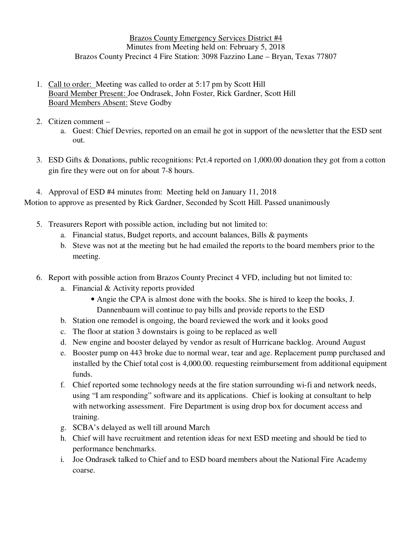Brazos County Emergency Services District #4 Minutes from Meeting held on: February 5, 2018 Brazos County Precinct 4 Fire Station: 3098 Fazzino Lane – Bryan, Texas 77807

- 1. Call to order: Meeting was called to order at 5:17 pm by Scott Hill Board Member Present: Joe Ondrasek, John Foster, Rick Gardner, Scott Hill Board Members Absent: Steve Godby
- 2. Citizen comment
	- a. Guest: Chief Devries, reported on an email he got in support of the newsletter that the ESD sent out.
- 3. ESD Gifts & Donations, public recognitions: Pct.4 reported on 1,000.00 donation they got from a cotton gin fire they were out on for about 7-8 hours.
- 4. Approval of ESD #4 minutes from: Meeting held on January 11, 2018 Motion to approve as presented by Rick Gardner, Seconded by Scott Hill. Passed unanimously
	- 5. Treasurers Report with possible action, including but not limited to:
		- a. Financial status, Budget reports, and account balances, Bills & payments
			- b. Steve was not at the meeting but he had emailed the reports to the board members prior to the meeting.
		- 6. Report with possible action from Brazos County Precinct 4 VFD, including but not limited to:
			- a. Financial & Activity reports provided
				- Angie the CPA is almost done with the books. She is hired to keep the books, J. Dannenbaum will continue to pay bills and provide reports to the ESD
			- b. Station one remodel is ongoing, the board reviewed the work and it looks good
			- c. The floor at station 3 downstairs is going to be replaced as well
			- d. New engine and booster delayed by vendor as result of Hurricane backlog. Around August
			- e. Booster pump on 443 broke due to normal wear, tear and age. Replacement pump purchased and installed by the Chief total cost is 4,000.00. requesting reimbursement from additional equipment funds.
			- f. Chief reported some technology needs at the fire station surrounding wi-fi and network needs, using "I am responding" software and its applications. Chief is looking at consultant to help with networking assessment. Fire Department is using drop box for document access and training.
			- g. SCBA's delayed as well till around March
			- h. Chief will have recruitment and retention ideas for next ESD meeting and should be tied to performance benchmarks.
			- i. Joe Ondrasek talked to Chief and to ESD board members about the National Fire Academy coarse.